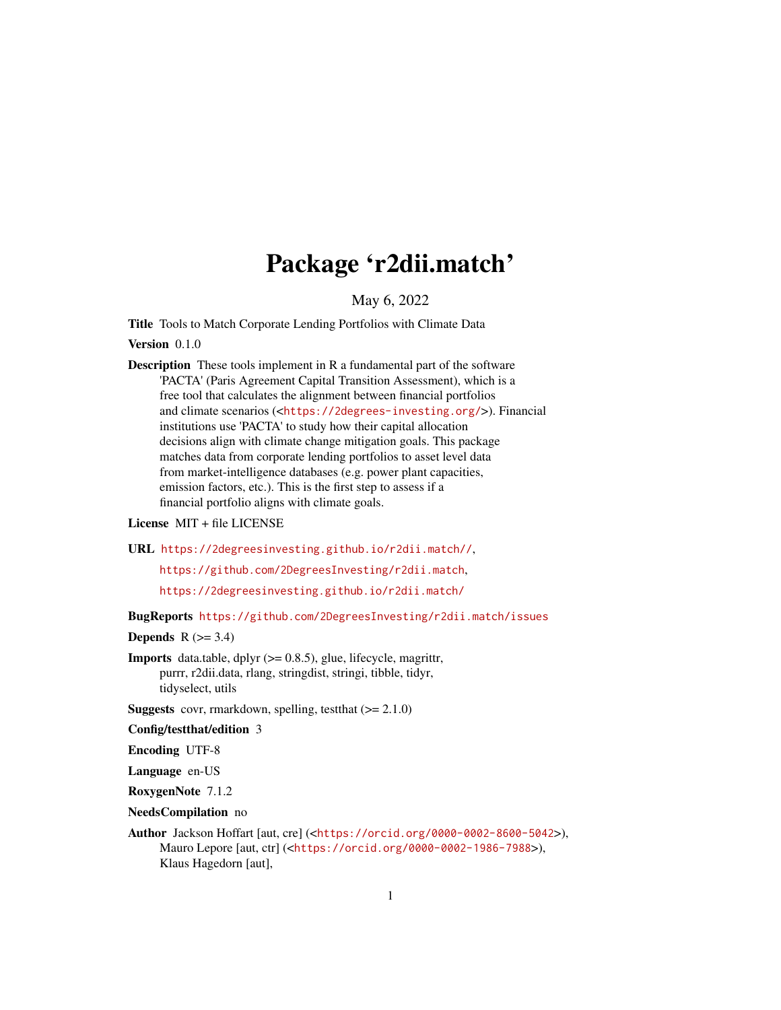# Package 'r2dii.match'

May 6, 2022

<span id="page-0-0"></span>Title Tools to Match Corporate Lending Portfolios with Climate Data

Version 0.1.0

Description These tools implement in R a fundamental part of the software 'PACTA' (Paris Agreement Capital Transition Assessment), which is a free tool that calculates the alignment between financial portfolios and climate scenarios (<<https://2degrees-investing.org/>>). Financial institutions use 'PACTA' to study how their capital allocation decisions align with climate change mitigation goals. This package matches data from corporate lending portfolios to asset level data from market-intelligence databases (e.g. power plant capacities, emission factors, etc.). This is the first step to assess if a financial portfolio aligns with climate goals.

#### License MIT + file LICENSE

URL <https://2degreesinvesting.github.io/r2dii.match//>,

<https://github.com/2DegreesInvesting/r2dii.match>,

<https://2degreesinvesting.github.io/r2dii.match/>

BugReports <https://github.com/2DegreesInvesting/r2dii.match/issues>

#### **Depends**  $R$  ( $>= 3.4$ )

**Imports** data.table, dplyr  $(>= 0.8.5)$ , glue, lifecycle, magrittr, purrr, r2dii.data, rlang, stringdist, stringi, tibble, tidyr, tidyselect, utils

**Suggests** covr, rmarkdown, spelling, test that  $(>= 2.1.0)$ 

Config/testthat/edition 3

Encoding UTF-8

Language en-US

RoxygenNote 7.1.2

NeedsCompilation no

Author Jackson Hoffart [aut, cre] (<<https://orcid.org/0000-0002-8600-5042>>), Mauro Lepore [aut, ctr] (<<https://orcid.org/0000-0002-1986-7988>>), Klaus Hagedorn [aut],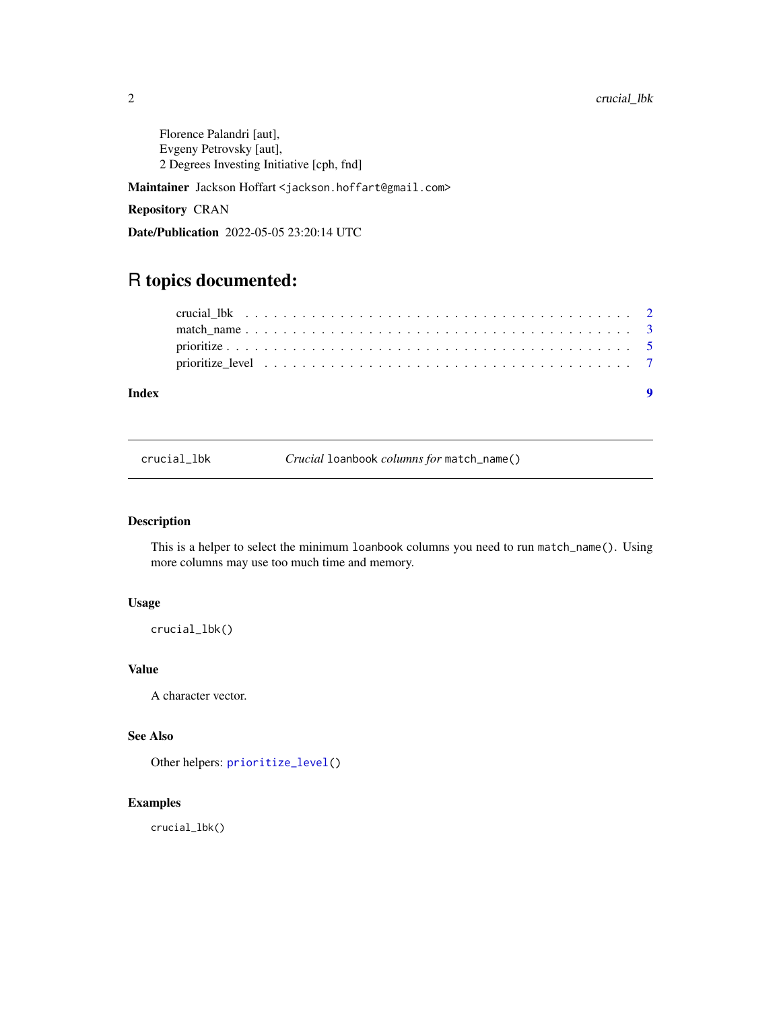<span id="page-1-0"></span>Florence Palandri [aut], Evgeny Petrovsky [aut], 2 Degrees Investing Initiative [cph, fnd]

Maintainer Jackson Hoffart <jackson.hoffart@gmail.com>

Repository CRAN

Date/Publication 2022-05-05 23:20:14 UTC

## R topics documented:

<span id="page-1-1"></span>crucial\_lbk *Crucial* loanbook *columns for* match\_name()

#### Description

This is a helper to select the minimum loanbook columns you need to run match\_name(). Using more columns may use too much time and memory.

#### Usage

crucial\_lbk()

#### Value

A character vector.

### See Also

Other helpers: [prioritize\\_level\(](#page-6-1))

#### Examples

crucial\_lbk()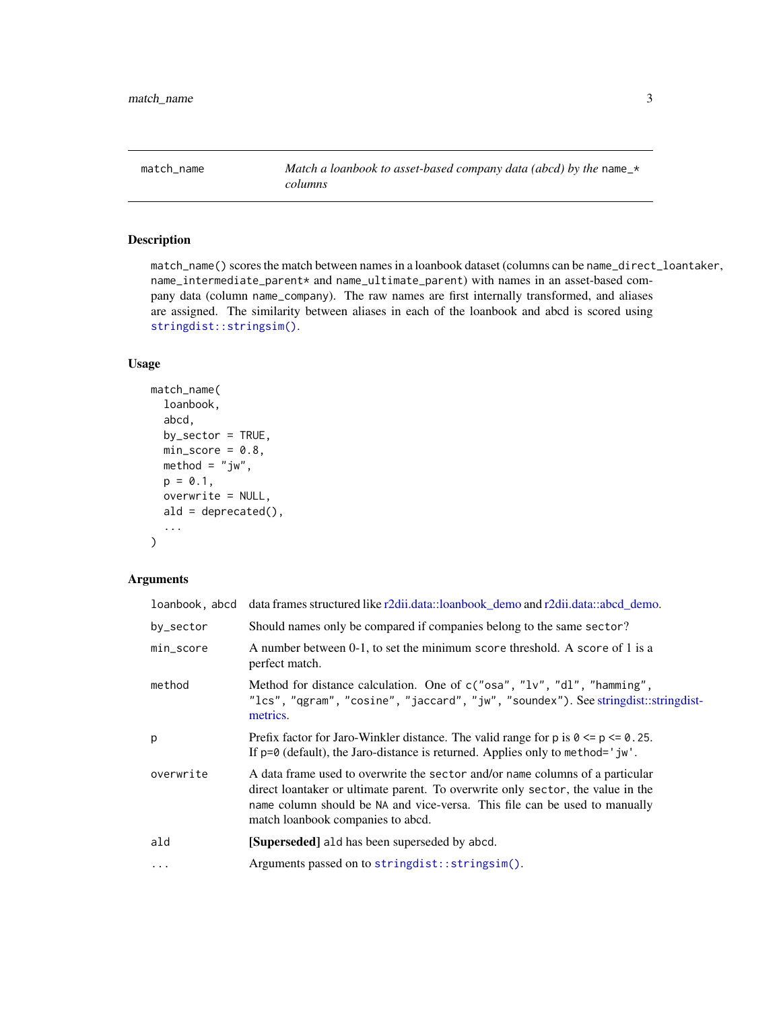<span id="page-2-1"></span><span id="page-2-0"></span>match\_name *Match a loanbook to asset-based company data (abcd) by the* name\_\* *columns*

#### Description

match\_name() scores the match between names in a loanbook dataset (columns can be name\_direct\_loantaker, name\_intermediate\_parent\* and name\_ultimate\_parent) with names in an asset-based company data (column name\_company). The raw names are first internally transformed, and aliases are assigned. The similarity between aliases in each of the loanbook and abcd is scored using [stringdist::stringsim\(\)](#page-0-0).

#### Usage

```
match_name(
  loanbook,
  abcd,
  by_sector = TRUE,
 min\_score = 0.8,
 \text{method} = "jw",p = 0.1,
  overwrite = NULL,
  ald = dependence(),...
)
```
#### Arguments

| loanbook, abcd | data frames structured like r2dii.data::loanbook_demo and r2dii.data::abcd_demo.                                                                                                                                                                                                    |
|----------------|-------------------------------------------------------------------------------------------------------------------------------------------------------------------------------------------------------------------------------------------------------------------------------------|
| by_sector      | Should names only be compared if companies belong to the same sector?                                                                                                                                                                                                               |
| min_score      | A number between 0-1, to set the minimum score threshold. A score of 1 is a<br>perfect match.                                                                                                                                                                                       |
| method         | Method for distance calculation. One of c("osa", "lv", "dl", "hamming",<br>"lcs", "qgram", "cosine", "jaccard", "jw", "soundex"). See stringdist::stringdist-<br>metrics.                                                                                                           |
| p              | Prefix factor for Jaro-Winkler distance. The valid range for $p$ is $0 \le p \le 0.25$ .<br>If $p=0$ (default), the Jaro-distance is returned. Applies only to method='jw'.                                                                                                         |
| overwrite      | A data frame used to overwrite the sector and/or name columns of a particular<br>direct loantaker or ultimate parent. To overwrite only sector, the value in the<br>name column should be NA and vice-versa. This file can be used to manually<br>match loanbook companies to abcd. |
| ald            | [Superseded] ald has been superseded by abcd.                                                                                                                                                                                                                                       |
| $\cdots$       | Arguments passed on to stringdist::stringsim().                                                                                                                                                                                                                                     |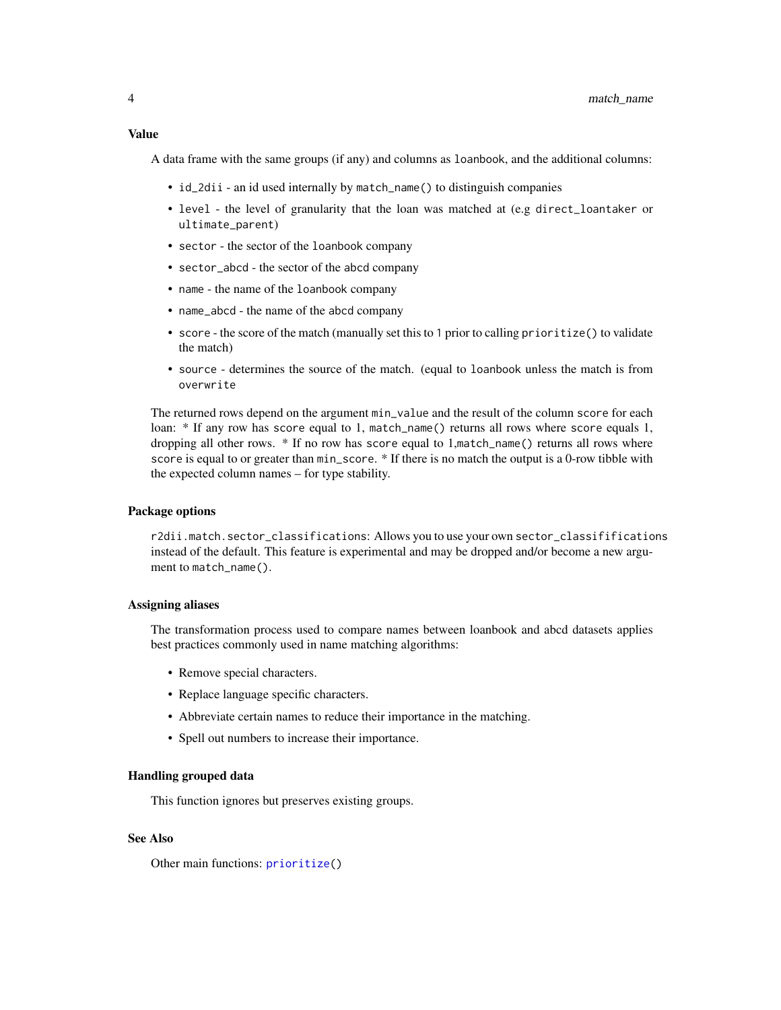<span id="page-3-0"></span>A data frame with the same groups (if any) and columns as loanbook, and the additional columns:

- id\_2dii an id used internally by match\_name() to distinguish companies
- level the level of granularity that the loan was matched at (e.g direct\_loantaker or ultimate\_parent)
- sector the sector of the loanbook company
- sector\_abcd the sector of the abcd company
- name the name of the loanbook company
- name\_abcd the name of the abcd company
- score the score of the match (manually set this to 1 prior to calling prioritize() to validate the match)
- source determines the source of the match. (equal to loanbook unless the match is from overwrite

The returned rows depend on the argument min\_value and the result of the column score for each loan: \* If any row has score equal to 1, match\_name() returns all rows where score equals 1, dropping all other rows. \* If no row has score equal to 1,match\_name() returns all rows where score is equal to or greater than  $min\_score$ . \* If there is no match the output is a 0-row tibble with the expected column names – for type stability.

#### Package options

r2dii.match.sector\_classifications: Allows you to use your own sector\_classififications instead of the default. This feature is experimental and may be dropped and/or become a new argument to match\_name().

#### Assigning aliases

The transformation process used to compare names between loanbook and abcd datasets applies best practices commonly used in name matching algorithms:

- Remove special characters.
- Replace language specific characters.
- Abbreviate certain names to reduce their importance in the matching.
- Spell out numbers to increase their importance.

#### Handling grouped data

This function ignores but preserves existing groups.

#### See Also

Other main functions: [prioritize\(](#page-4-1))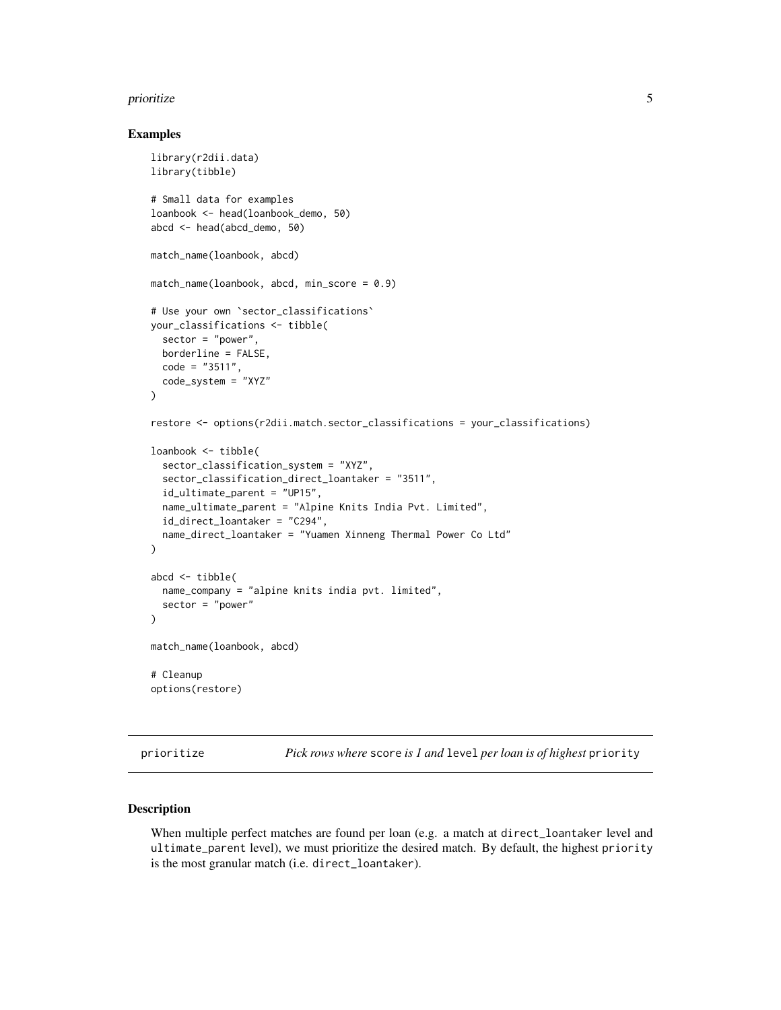#### <span id="page-4-0"></span>prioritize 5

#### Examples

```
library(r2dii.data)
library(tibble)
# Small data for examples
loanbook <- head(loanbook_demo, 50)
abcd <- head(abcd_demo, 50)
match_name(loanbook, abcd)
match_name(loanbook, abcd, min_score = 0.9)
# Use your own `sector_classifications`
your_classifications <- tibble(
  sector = "power",
  borderline = FALSE,
  code = "3511".code_system = "XYZ"
\mathcal{L}restore <- options(r2dii.match.sector_classifications = your_classifications)
loanbook <- tibble(
  sector_classification_system = "XYZ",
  sector_classification_direct_loantaker = "3511",
  id_ultimate_parent = "UP15",
  name_ultimate_parent = "Alpine Knits India Pvt. Limited",
  id_direct_loantaker = "C294",
  name_direct_loantaker = "Yuamen Xinneng Thermal Power Co Ltd"
)
abcd <- tibble(
  name_company = "alpine knits india pvt. limited",
  sector = "power"
)
match_name(loanbook, abcd)
# Cleanup
options(restore)
```
<span id="page-4-1"></span>prioritize *Pick rows where* score *is 1 and* level *per loan is of highest* priority

#### Description

When multiple perfect matches are found per loan (e.g. a match at direct\_loantaker level and ultimate\_parent level), we must prioritize the desired match. By default, the highest priority is the most granular match (i.e. direct\_loantaker).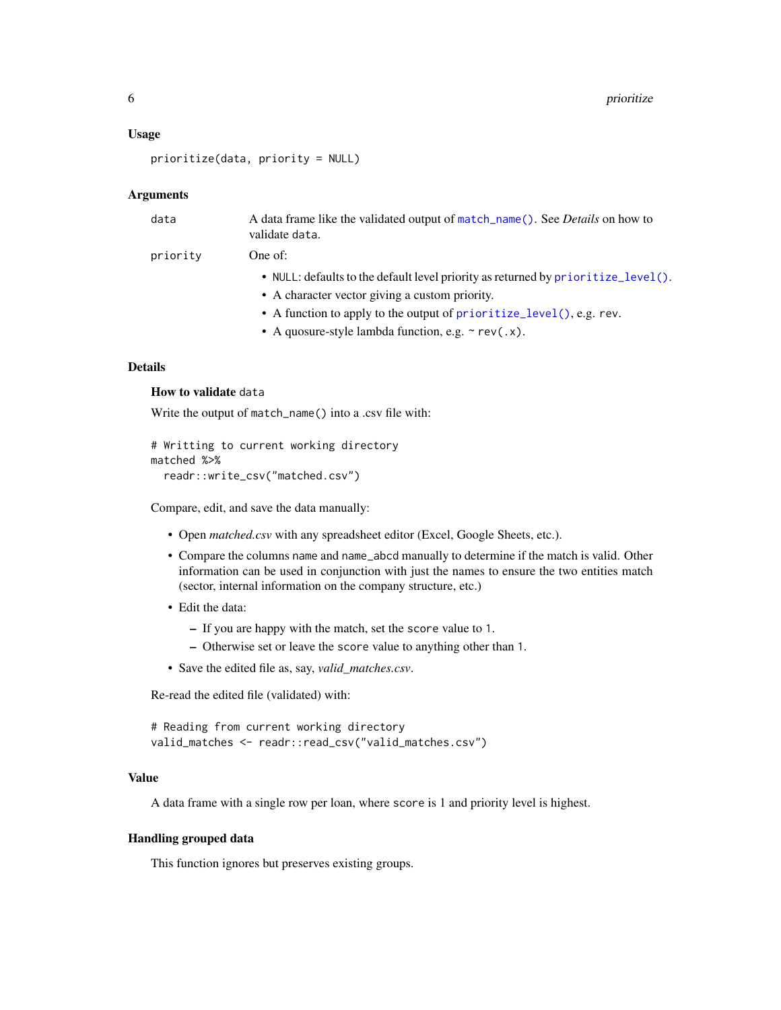#### <span id="page-5-0"></span>Usage

```
prioritize(data, priority = NULL)
```
#### Arguments

| data     | A data frame like the validated output of match_name(). See <i>Details</i> on how to<br>validate data. |
|----------|--------------------------------------------------------------------------------------------------------|
| priority | One of:                                                                                                |
|          | • NULL: defaults to the default level priority as returned by prioritize_level().                      |
|          | • A character vector giving a custom priority.                                                         |
|          | • A function to apply to the output of prioritize_level(), e.g. rev.                                   |
|          | • A quosure-style lambda function, e.g. $\sim$ rev(.x).                                                |
|          |                                                                                                        |

#### Details

#### How to validate data

Write the output of match\_name() into a .csv file with:

```
# Writting to current working directory
matched %>%
  readr::write_csv("matched.csv")
```
Compare, edit, and save the data manually:

- Open *matched.csv* with any spreadsheet editor (Excel, Google Sheets, etc.).
- Compare the columns name and name\_abcd manually to determine if the match is valid. Other information can be used in conjunction with just the names to ensure the two entities match (sector, internal information on the company structure, etc.)
- Edit the data:
	- If you are happy with the match, set the score value to 1.
	- Otherwise set or leave the score value to anything other than 1.
- Save the edited file as, say, *valid\_matches.csv*.

Re-read the edited file (validated) with:

```
# Reading from current working directory
valid_matches <- readr::read_csv("valid_matches.csv")
```
#### Value

A data frame with a single row per loan, where score is 1 and priority level is highest.

#### Handling grouped data

This function ignores but preserves existing groups.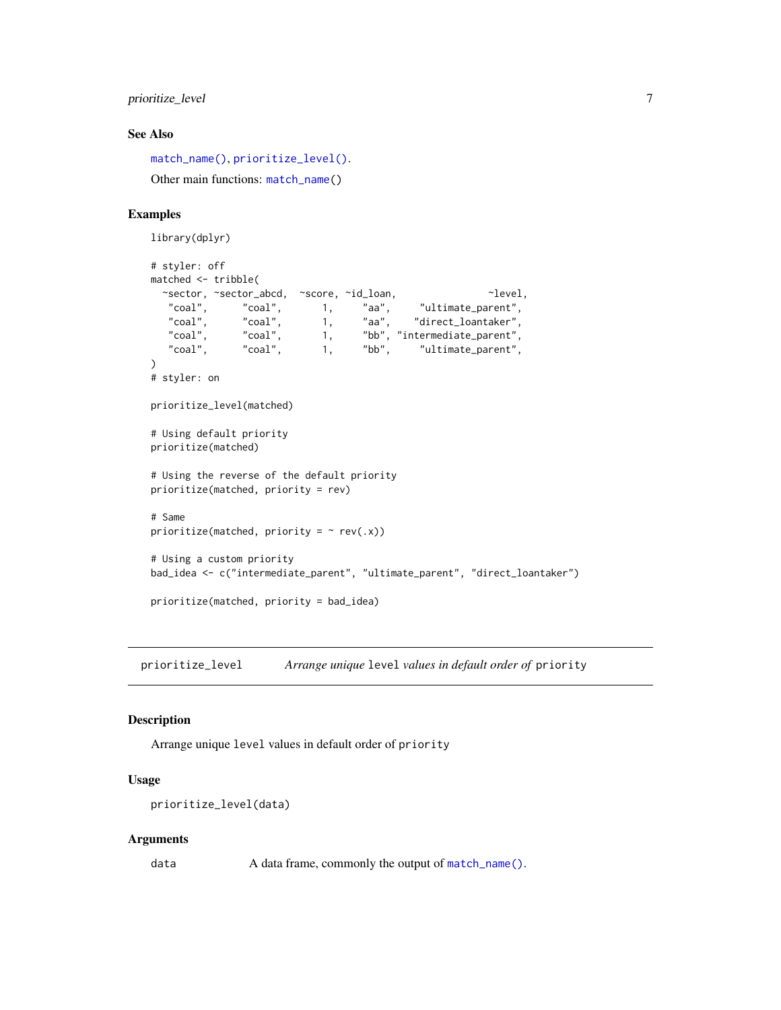#### <span id="page-6-0"></span>prioritize\_level 7

#### See Also

```
match_name(), prioritize_level().
Other main functions: match_name()
```
#### Examples

```
library(dplyr)
# styler: off
matched <- tribble(
  ~sector, ~sector_abcd, ~score, ~id_loan, ~level,
  "coal", "coal", 1, "aa", "ultimate_parent",<br>"coal", "coal", 1, "aa", "direct_loantaker",
   "coal", "coal", 1, "aa", "direct_loantaker",
   "coal", "coal", 1, "bb", "intermediate_parent",
   "coal", "coal", 1, "bb", "intermediate_parent",<br>"coal", "coal", 1, "bb", "ultimate_parent",
)
# styler: on
prioritize_level(matched)
# Using default priority
prioritize(matched)
# Using the reverse of the default priority
prioritize(matched, priority = rev)
# Same
prioritize(matched, priority = \sim rev(.x))
# Using a custom priority
bad_idea <- c("intermediate_parent", "ultimate_parent", "direct_loantaker")
prioritize(matched, priority = bad_idea)
```
<span id="page-6-1"></span>prioritize\_level *Arrange unique* level *values in default order of* priority

#### Description

Arrange unique level values in default order of priority

#### Usage

```
prioritize_level(data)
```
#### Arguments

data A data frame, commonly the output of [match\\_name\(\)](#page-2-1).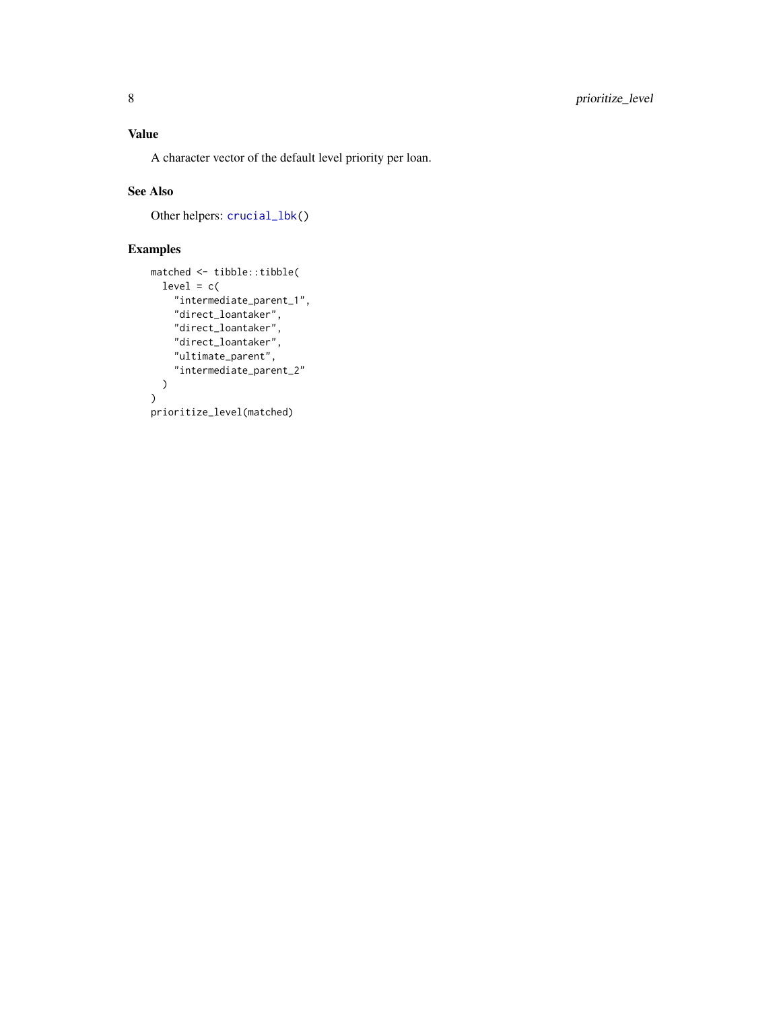<span id="page-7-0"></span>A character vector of the default level priority per loan.

#### See Also

Other helpers: [crucial\\_lbk\(](#page-1-1))

#### Examples

```
matched <- tibble::tibble(
  level = c("intermediate_parent_1",
    "direct_loantaker",
    "direct_loantaker",
    "direct_loantaker",
    "ultimate_parent",
    "intermediate_parent_2"
  )
)
prioritize_level(matched)
```